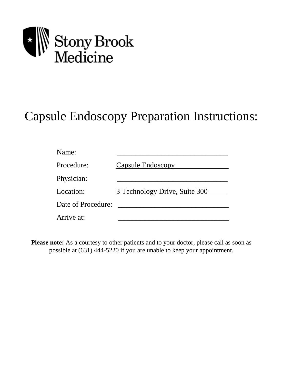

## Capsule Endoscopy Preparation Instructions:

| Name:              |                               |
|--------------------|-------------------------------|
| Procedure:         | Capsule Endoscopy             |
| Physician:         |                               |
| Location:          | 3 Technology Drive, Suite 300 |
| Date of Procedure: |                               |
| Arrive at:         |                               |

**Please note:** As a courtesy to other patients and to your doctor, please call as soon as possible at (631) 444-5220 if you are unable to keep your appointment.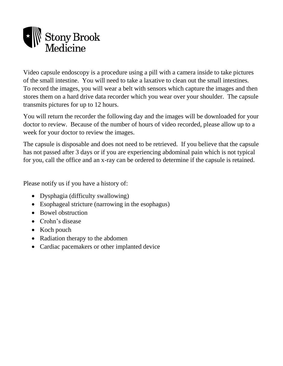

Video capsule endoscopy is a procedure using a pill with a camera inside to take pictures of the small intestine. You will need to take a laxative to clean out the small intestines. To record the images, you will wear a belt with sensors which capture the images and then stores them on a hard drive data recorder which you wear over your shoulder. The capsule transmits pictures for up to 12 hours.

You will return the recorder the following day and the images will be downloaded for your doctor to review. Because of the number of hours of video recorded, please allow up to a week for your doctor to review the images.

The capsule is disposable and does not need to be retrieved. If you believe that the capsule has not passed after 3 days or if you are experiencing abdominal pain which is not typical for you, call the office and an x-ray can be ordered to determine if the capsule is retained.

Please notify us if you have a history of:

- Dysphagia (difficulty swallowing)
- Esophageal stricture (narrowing in the esophagus)
- Bowel obstruction
- Crohn's disease
- Koch pouch
- Radiation therapy to the abdomen
- Cardiac pacemakers or other implanted device